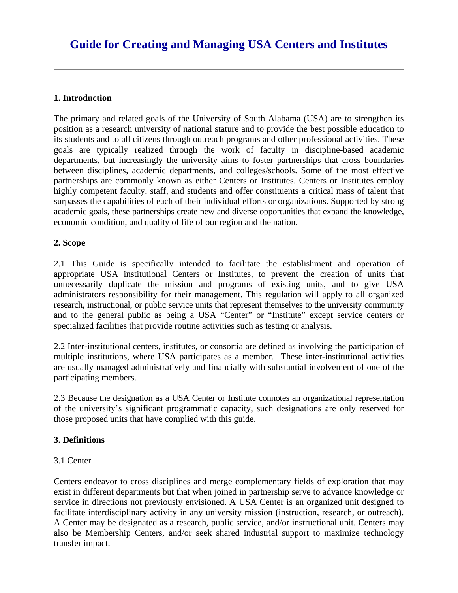# **1. Introduction**

The primary and related goals of the University of South Alabama (USA) are to strengthen its position as a research university of national stature and to provide the best possible education to its students and to all citizens through outreach programs and other professional activities. These goals are typically realized through the work of faculty in discipline-based academic departments, but increasingly the university aims to foster partnerships that cross boundaries between disciplines, academic departments, and colleges/schools. Some of the most effective partnerships are commonly known as either Centers or Institutes. Centers or Institutes employ highly competent faculty, staff, and students and offer constituents a critical mass of talent that surpasses the capabilities of each of their individual efforts or organizations. Supported by strong academic goals, these partnerships create new and diverse opportunities that expand the knowledge, economic condition, and quality of life of our region and the nation.

# **2. Scope**

2.1 This Guide is specifically intended to facilitate the establishment and operation of appropriate USA institutional Centers or Institutes, to prevent the creation of units that unnecessarily duplicate the mission and programs of existing units, and to give USA administrators responsibility for their management. This regulation will apply to all organized research, instructional, or public service units that represent themselves to the university community and to the general public as being a USA "Center" or "Institute" except service centers or specialized facilities that provide routine activities such as testing or analysis.

2.2 Inter-institutional centers, institutes, or consortia are defined as involving the participation of multiple institutions, where USA participates as a member. These inter-institutional activities are usually managed administratively and financially with substantial involvement of one of the participating members.

2.3 Because the designation as a USA Center or Institute connotes an organizational representation of the university's significant programmatic capacity, such designations are only reserved for those proposed units that have complied with this guide.

# **3. Definitions**

# 3.1 Center

Centers endeavor to cross disciplines and merge complementary fields of exploration that may exist in different departments but that when joined in partnership serve to advance knowledge or service in directions not previously envisioned. A USA Center is an organized unit designed to facilitate interdisciplinary activity in any university mission (instruction, research, or outreach). A Center may be designated as a research, public service, and/or instructional unit. Centers may also be Membership Centers, and/or seek shared industrial support to maximize technology transfer impact.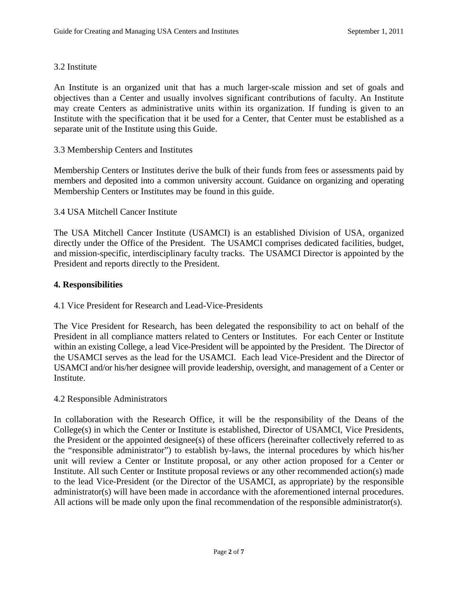## 3.2 Institute

An Institute is an organized unit that has a much larger-scale mission and set of goals and objectives than a Center and usually involves significant contributions of faculty. An Institute may create Centers as administrative units within its organization. If funding is given to an Institute with the specification that it be used for a Center, that Center must be established as a separate unit of the Institute using this Guide.

## 3.3 Membership Centers and Institutes

 Membership Centers or Institutes may be found in this guide. 3.4 USA Mitchell Cancer Institute Membership Centers or Institutes derive the bulk of their funds from fees or assessments paid by members and deposited into a common university account. Guidance on organizing and operating

The USA Mitchell Cancer Institute (USAMCI) is an established Division of USA, organized directly under the Office of the President. The USAMCI comprises dedicated facilities, budget, and mission-specific, interdisciplinary faculty tracks. The USAMCI Director is appointed by the President and reports directly to the President.

## **4. Responsibilities**

# 4.1 Vice President for Research and Lead-Vice-Presidents

 the USAMCI serves as the lead for the USAMCI. Each lead Vice-President and the Director of The Vice President for Research, has been delegated the responsibility to act on behalf of the President in all compliance matters related to Centers or Institutes. For each Center or Institute within an existing College, a lead Vice-President will be appointed by the President. The Director of USAMCI and/or his/her designee will provide leadership, oversight, and management of a Center or Institute.

### 4.2 Responsible Administrators

All actions will be made only upon the final recommendation of the responsible administrator(s).<br>
Page 2 of 7 In collaboration with the Research Office, it will be the responsibility of the Deans of the College(s) in which the Center or Institute is established, Director of USAMCI, Vice Presidents, the President or the appointed designee(s) of these officers (hereinafter collectively referred to as the "responsible administrator") to establish by-laws, the internal procedures by which his/her unit will review a Center or Institute proposal, or any other action proposed for a Center or Institute. All such Center or Institute proposal reviews or any other recommended action(s) made to the lead Vice-President (or the Director of the USAMCI, as appropriate) by the responsible administrator(s) will have been made in accordance with the aforementioned internal procedures.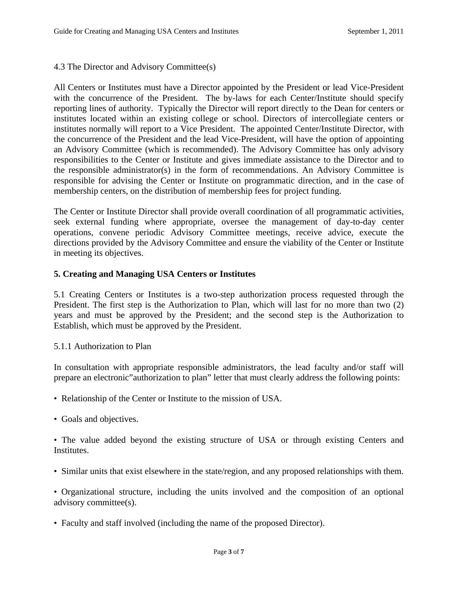## 4.3 The Director and Advisory Committee(s)

All Centers or Institutes must have a Director appointed by the President or lead Vice-President with the concurrence of the President. The by-laws for each Center/Institute should specify reporting lines of authority. Typically the Director will report directly to the Dean for centers or institutes located within an existing college or school. Directors of intercollegiate centers or institutes normally will report to a Vice President. The appointed Center/Institute Director, with the concurrence of the President and the lead Vice-President, will have the option of appointing an Advisory Committee (which is recommended). The Advisory Committee has only advisory responsibilities to the Center or Institute and gives immediate assistance to the Director and to the responsible administrator(s) in the form of recommendations. An Advisory Committee is responsible for advising the Center or Institute on programmatic direction, and in the case of membership centers, on the distribution of membership fees for project funding.

 in meeting its objectives. The Center or Institute Director shall provide overall coordination of all programmatic activities, seek external funding where appropriate, oversee the management of day-to-day center operations, convene periodic Advisory Committee meetings, receive advice, execute the directions provided by the Advisory Committee and ensure the viability of the Center or Institute

# **5. Creating and Managing USA Centers or Institutes**

5.1 Creating Centers or Institutes is a two-step authorization process requested through the President. The first step is the Authorization to Plan, which will last for no more than two (2) years and must be approved by the President; and the second step is the Authorization to Establish, which must be approved by the President.

### 5.1.1 Authorization to Plan

In consultation with appropriate responsible administrators, the lead faculty and/or staff will prepare an electronic"authorization to plan" letter that must clearly address the following points:

- Relationship of the Center or Institute to the mission of USA.
- Goals and objectives.

• The value added beyond the existing structure of USA or through existing Centers and Institutes.

• Similar units that exist elsewhere in the state/region, and any proposed relationships with them.

• Organizational structure, including the units involved and the composition of an optional advisory committee(s).

• Faculty and staff involved (including the name of the proposed Director).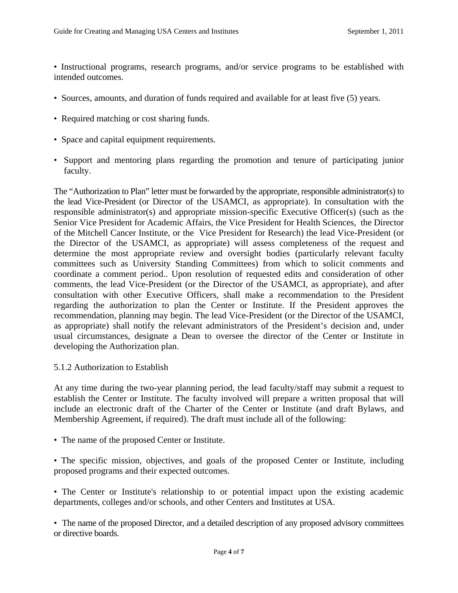• Instructional programs, research programs, and/or service programs to be established with intended outcomes.

- Sources, amounts, and duration of funds required and available for at least five (5) years.
- Required matching or cost sharing funds.
- Space and capital equipment requirements.
- Support and mentoring plans regarding the promotion and tenure of participating junior faculty.

 the lead Vice-President (or Director of the USAMCI, as appropriate). In consultation with the The "Authorization to Plan" letter must be forwarded by the appropriate, responsible administrator(s) to responsible administrator(s) and appropriate mission-specific Executive Officer(s) (such as the Senior Vice President for Academic Affairs, the Vice President for Health Sciences, the Director of the Mitchell Cancer Institute, or the Vice President for Research) the lead Vice-President (or the Director of the USAMCI, as appropriate) will assess completeness of the request and determine the most appropriate review and oversight bodies (particularly relevant faculty committees such as University Standing Committees) from which to solicit comments and coordinate a comment period.. Upon resolution of requested edits and consideration of other comments, the lead Vice-President (or the Director of the USAMCI, as appropriate), and after consultation with other Executive Officers, shall make a recommendation to the President regarding the authorization to plan the Center or Institute. If the President approves the recommendation, planning may begin. The lead Vice-President (or the Director of the USAMCI, as appropriate) shall notify the relevant administrators of the President's decision and, under usual circumstances, designate a Dean to oversee the director of the Center or Institute in developing the Authorization plan.

### 5.1.2 Authorization to Establish

At any time during the two-year planning period, the lead faculty/staff may submit a request to establish the Center or Institute. The faculty involved will prepare a written proposal that will include an electronic draft of the Charter of the Center or Institute (and draft Bylaws, and Membership Agreement, if required). The draft must include all of the following:

• The name of the proposed Center or Institute.

• The specific mission, objectives, and goals of the proposed Center or Institute, including proposed programs and their expected outcomes.

• The Center or Institute's relationship to or potential impact upon the existing academic departments, colleges and/or schools, and other Centers and Institutes at USA.

 • The name of the proposed Director, and a detailed description of any proposed advisory committees or directive boards.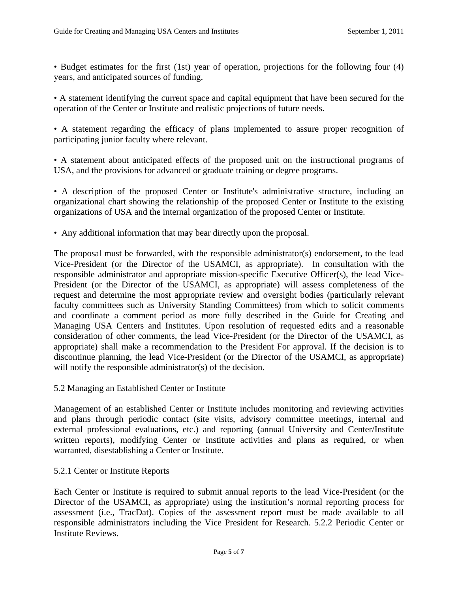• Budget estimates for the first (1st) year of operation, projections for the following four (4) years, and anticipated sources of funding.

• A statement identifying the current space and capital equipment that have been secured for the operation of the Center or Institute and realistic projections of future needs.

• A statement regarding the efficacy of plans implemented to assure proper recognition of participating junior faculty where relevant.

• A statement about anticipated effects of the proposed unit on the instructional programs of USA, and the provisions for advanced or graduate training or degree programs.

• A description of the proposed Center or Institute's administrative structure, including an organizational chart showing the relationship of the proposed Center or Institute to the existing organizations of USA and the internal organization of the proposed Center or Institute.

• Any additional information that may bear directly upon the proposal.

The proposal must be forwarded, with the responsible administrator(s) endorsement, to the lead Vice-President (or the Director of the USAMCI, as appropriate). In consultation with the responsible administrator and appropriate mission-specific Executive Officer(s), the lead Vice-President (or the Director of the USAMCI, as appropriate) will assess completeness of the request and determine the most appropriate review and oversight bodies (particularly relevant faculty committees such as University Standing Committees) from which to solicit comments and coordinate a comment period as more fully described in the Guide for Creating and Managing USA Centers and Institutes. Upon resolution of requested edits and a reasonable consideration of other comments, the lead Vice-President (or the Director of the USAMCI, as appropriate) shall make a recommendation to the President For approval. If the decision is to discontinue planning, the lead Vice-President (or the Director of the USAMCI, as appropriate) will notify the responsible administrator(s) of the decision.

5.2 Managing an Established Center or Institute

Management of an established Center or Institute includes monitoring and reviewing activities and plans through periodic contact (site visits, advisory committee meetings, internal and external professional evaluations, etc.) and reporting (annual University and Center/Institute written reports), modifying Center or Institute activities and plans as required, or when warranted, disestablishing a Center or Institute.

5.2.1 Center or Institute Reports

Each Center or Institute is required to submit annual reports to the lead Vice-President (or the Director of the USAMCI, as appropriate) using the institution's normal reporting process for assessment (i.e., TracDat). Copies of the assessment report must be made available to all responsible administrators including the Vice President for Research. 5.2.2 Periodic Center or Institute Reviews.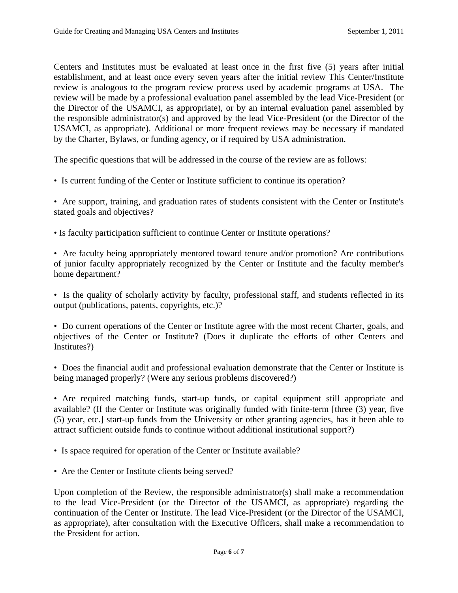Centers and Institutes must be evaluated at least once in the first five (5) years after initial establishment, and at least once every seven years after the initial review This Center/Institute review is analogous to the program review process used by academic programs at USA. The review will be made by a professional evaluation panel assembled by the lead Vice-President (or the Director of the USAMCI, as appropriate), or by an internal evaluation panel assembled by the responsible administrator(s) and approved by the lead Vice-President (or the Director of the USAMCI, as appropriate). Additional or more frequent reviews may be necessary if mandated by the Charter, Bylaws, or funding agency, or if required by USA administration.

The specific questions that will be addressed in the course of the review are as follows:

- Is current funding of the Center or Institute sufficient to continue its operation?
- stated goals and objectives? • Are support, training, and graduation rates of students consistent with the Center or Institute's
- Is faculty participation sufficient to continue Center or Institute operations?

home department? • Are faculty being appropriately mentored toward tenure and/or promotion? Are contributions of junior faculty appropriately recognized by the Center or Institute and the faculty member's

output (publications, patents, copyrights, etc.)? • Is the quality of scholarly activity by faculty, professional staff, and students reflected in its

Institutes?) • Do current operations of the Center or Institute agree with the most recent Charter, goals, and objectives of the Center or Institute? (Does it duplicate the efforts of other Centers and

• Does the financial audit and professional evaluation demonstrate that the Center or Institute is being managed properly? (Were any serious problems discovered?)

• Are required matching funds, start-up funds, or capital equipment still appropriate and available? (If the Center or Institute was originally funded with finite-term [three (3) year, five (5) year, etc.] start-up funds from the University or other granting agencies, has it been able to attract sufficient outside funds to continue without additional institutional support?)

- Is space required for operation of the Center or Institute available?
- Are the Center or Institute clients being served?

Upon completion of the Review, the responsible administrator(s) shall make a recommendation to the lead Vice-President (or the Director of the USAMCI, as appropriate) regarding the continuation of the Center or Institute. The lead Vice-President (or the Director of the USAMCI, as appropriate), after consultation with the Executive Officers, shall make a recommendation to the President for action.